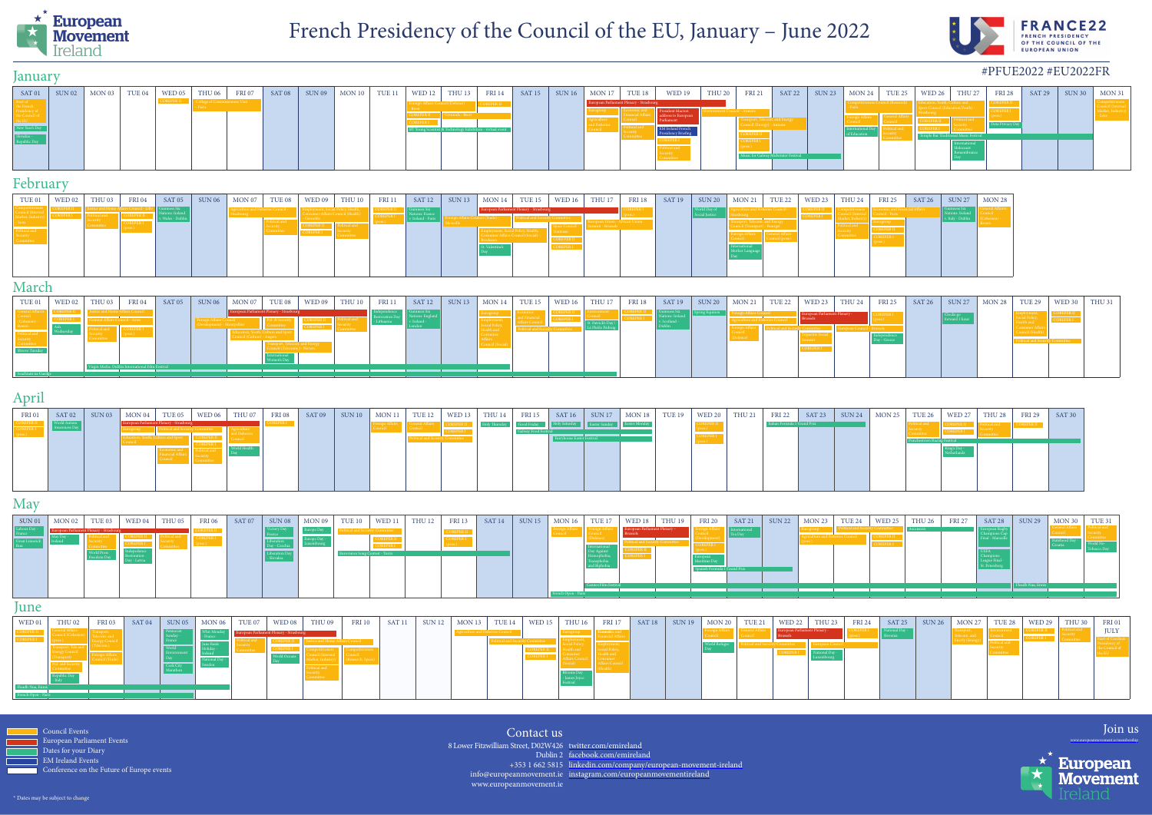

Council Events European Parliament Events Dates for your Diary BM Ireland Events Conference on the Future of Europe events

8 Lower Fitzwilliam Street, D02W426 twitter.com/emireland Dublin 2 facebook.com/emireland info@europeanmovement.ie) instagram.com/europeanmovementireland www.europeanmovement.ie



Join us



Contact us

## March

## May

#### June

## February

### January

# April

### #PFUE2022 #EU2022FR

| SAT 01 | $\vert$ SUN 02   MON 03   TUE 04   WED 05   THU 06 |  | <b>FRI 07</b> |  |  | SAT 08   SUN 09   MON 10   TUE 11   WED 12   THU 13   FRI 14 |                                                   |  |  |                                          |                 | SAT 15   SUN 16   MON 17   TUE 18   WED 19   THU 20 |  |  | FRI 21   SAT 22   SUN 23   MON 24   TUE 25   WED 26   THU 27   FRI 28 |  | $\vert$ SAT 29 $\vert$ | $\vert$ SUN 30 $\vert$ MON 31 $\vert$ |
|--------|----------------------------------------------------|--|---------------|--|--|--------------------------------------------------------------|---------------------------------------------------|--|--|------------------------------------------|-----------------|-----------------------------------------------------|--|--|-----------------------------------------------------------------------|--|------------------------|---------------------------------------|
|        |                                                    |  |               |  |  |                                                              |                                                   |  |  | European Parliament Plenary - Strasbourg |                 |                                                     |  |  |                                                                       |  |                        |                                       |
|        |                                                    |  |               |  |  |                                                              |                                                   |  |  |                                          | address to Euro |                                                     |  |  |                                                                       |  |                        |                                       |
|        |                                                    |  |               |  |  |                                                              | Scientist & Technology Exhibition - virtual event |  |  |                                          |                 |                                                     |  |  |                                                                       |  |                        |                                       |
|        |                                                    |  |               |  |  |                                                              |                                                   |  |  |                                          |                 |                                                     |  |  |                                                                       |  |                        |                                       |
|        |                                                    |  |               |  |  |                                                              |                                                   |  |  |                                          |                 |                                                     |  |  |                                                                       |  |                        |                                       |
|        |                                                    |  |               |  |  |                                                              |                                                   |  |  |                                          |                 |                                                     |  |  |                                                                       |  |                        |                                       |

| TUE 01 | WED 02  | THU <sub>03</sub>                  | <b>FRI 04</b> | SAT 05 | <b>SUN 06</b> | MON 07 | TUE <sub>08</sub> | WED 09 $\vert$                                                                 | THU 10 $\vert$              | <b>FRI 11</b> | $SAT 12$ SUN 13 | $\vert$ MON 14                           | <b>TUE 15</b>               | WED 16 $\vert$ | <b>THU 17</b> | <b>FRI 18</b> | <b>SAT 19</b> | $\vert$ SUN 20 | <b>MON 21</b> | <b>TUE 22</b>              | WED 23 | <b>THU 24</b> | <b>FRI 25</b> | SAT 26                | $\vert$ SUN 27 $\vert$ MON 28 |
|--------|---------|------------------------------------|---------------|--------|---------------|--------|-------------------|--------------------------------------------------------------------------------|-----------------------------|---------------|-----------------|------------------------------------------|-----------------------------|----------------|---------------|---------------|---------------|----------------|---------------|----------------------------|--------|---------------|---------------|-----------------------|-------------------------------|
|        |         | Iustice and Home Affairs Council - |               |        |               |        |                   | The and Fisheries Council - <b>Council Employment</b> , Social Policy, Health, |                             | – COREPER II  |                 | European Parliament Plenary - Strasbourg |                             |                |               |               |               | orld Dav of    |               | re and Fisheries Council - |        |               |               | and Financial Affairs |                               |
|        | REPER I | olitical and                       |               |        |               |        |                   |                                                                                | er Affairs Council (Health) |               |                 | Council (Trade) -                        | <b>Contand Security</b>     |                |               |               |               |                |               |                            |        |               |               |                       |                               |
|        |         |                                    |               |        |               |        |                   |                                                                                |                             |               |                 |                                          |                             |                |               |               |               |                |               |                            |        |               |               |                       |                               |
|        |         |                                    |               |        |               |        |                   |                                                                                |                             |               |                 |                                          |                             |                |               |               |               |                |               |                            |        |               |               |                       |                               |
|        |         |                                    |               |        |               |        |                   |                                                                                |                             |               |                 |                                          | mer Affairs Council (Social |                |               |               |               |                |               |                            |        |               |               |                       |                               |
|        |         |                                    |               |        |               |        |                   |                                                                                |                             |               |                 |                                          |                             |                |               |               |               |                |               |                            |        |               |               |                       |                               |
|        |         |                                    |               |        |               |        |                   |                                                                                |                             |               |                 | St. Valentine's                          |                             |                |               |               |               |                |               |                            |        |               |               |                       |                               |
|        |         |                                    |               |        |               |        |                   |                                                                                |                             |               |                 |                                          |                             |                |               |               |               |                |               |                            |        |               |               |                       |                               |
|        |         |                                    |               |        |               |        |                   |                                                                                |                             |               |                 |                                          |                             |                |               |               |               |                |               |                            |        |               |               |                       |                               |
|        |         |                                    |               |        |               |        |                   |                                                                                |                             |               |                 |                                          |                             |                |               |               |               |                |               |                            |        |               |               |                       |                               |
|        |         |                                    |               |        |               |        |                   |                                                                                |                             |               |                 |                                          |                             |                |               |               |               |                |               |                            |        |               |               |                       |                               |

| FRI 01 | $SAT 02$   SUN 03 | MON 04                                   | TUE 05 | WED 06 | THU 07 | <b>FRI 08</b> | $SAT 09$   SUN 10   MON 11 | TUE 12 | WED 13 | THU 14 FRI 15 |             | SAT 16 | SUN 17                     | MON18 | <b>TUE 19</b> | WED 20 $\vert$ | <b>THU 21</b> |                              | FRI 22   SAT 23 | $SUN 24$ MON 25 | TUE 26 | WED 27 | <b>THU 28</b> | <b>FRI 29</b> | SAT 30 |
|--------|-------------------|------------------------------------------|--------|--------|--------|---------------|----------------------------|--------|--------|---------------|-------------|--------|----------------------------|-------|---------------|----------------|---------------|------------------------------|-----------------|-----------------|--------|--------|---------------|---------------|--------|
|        |                   | European Parliament Plenary - Strasbourg |        |        |        |               |                            |        |        |               | Good Friday |        | <b>Arday Easter Sunday</b> |       |               |                |               | Italian Formula 1 Grand Prix |                 |                 |        |        |               |               |        |
|        |                   |                                          |        |        |        |               |                            |        |        |               |             |        |                            |       |               |                |               |                              |                 |                 |        |        |               |               |        |

| $\text{SUM}{}$ 01 | MON 02 | TUE <sub>03</sub> |  |  | $\vert$ SAT 07 $\vert$ SUN 08 $\vert$ MON 09 $\vert$ TUE 10 $\vert$ |  | WED 11 $\vert$ | THU 12   FRI 13 |  | SAT 14   SUN 15   MON 16   TUE 17   WED 18   THU 19 |  |                           | <b>FRI</b> 20 |  | $SAT 21$ SUN 22 MON 23 TUE 24 | WED 25 $\vert$ | THU 26 $\vert$ | FRI 27   SAT 28 | $\vert$ SUN 29 $\vert$ MON 30 | TUE 31 |
|-------------------|--------|-------------------|--|--|---------------------------------------------------------------------|--|----------------|-----------------|--|-----------------------------------------------------|--|---------------------------|---------------|--|-------------------------------|----------------|----------------|-----------------|-------------------------------|--------|
|                   |        |                   |  |  |                                                                     |  |                |                 |  |                                                     |  | pean Parliament Plenary – |               |  |                               |                |                |                 |                               |        |
|                   |        |                   |  |  |                                                                     |  |                |                 |  |                                                     |  |                           |               |  |                               |                |                |                 |                               |        |
|                   |        |                   |  |  |                                                                     |  |                |                 |  |                                                     |  |                           |               |  |                               |                |                |                 |                               |        |
|                   |        |                   |  |  |                                                                     |  |                |                 |  |                                                     |  |                           |               |  |                               |                |                |                 |                               |        |
|                   |        |                   |  |  |                                                                     |  |                |                 |  |                                                     |  |                           |               |  |                               |                |                |                 |                               |        |
|                   |        |                   |  |  |                                                                     |  |                |                 |  |                                                     |  |                           |               |  |                               |                |                |                 | leadh Nua. Ennis              |        |
|                   |        |                   |  |  |                                                                     |  |                |                 |  |                                                     |  |                           |               |  |                               |                |                |                 |                               |        |

| TUE 01 | WED 02 $\parallel$ | THU <sub>03</sub>                                | <b>FRI 04</b> | $SAT 05$ SUN 06 | $\vert$ MON 07 $\vert$ TUE 08            |  | WED 09   THU 10 | FRI 11   SAT 12   SUN 13 |  | $\mid$ MON 14 $\mid$ TUE 15 $\mid$ |  |  | SAT 19   SUN 20   MON 21   TUE 22   WED 23   THU 24 |  |                              | <b>FRI 25</b> | $SAT 26$ SUN 27 | $\vert$ MON 28 $\vert$ TUE 29 $\vert$ | $\vert$ WED 30 $\vert$ | THU 31 |
|--------|--------------------|--------------------------------------------------|---------------|-----------------|------------------------------------------|--|-----------------|--------------------------|--|------------------------------------|--|--|-----------------------------------------------------|--|------------------------------|---------------|-----------------|---------------------------------------|------------------------|--------|
|        |                    |                                                  |               |                 | European Parliament Plenary - Strasbourg |  |                 |                          |  |                                    |  |  |                                                     |  | opean Parliament Plenary - 4 |               |                 |                                       |                        |        |
|        |                    |                                                  |               |                 |                                          |  |                 |                          |  |                                    |  |  |                                                     |  |                              |               |                 |                                       |                        |        |
|        |                    |                                                  |               |                 |                                          |  |                 |                          |  |                                    |  |  |                                                     |  |                              |               |                 |                                       |                        |        |
|        |                    | Virgin Media: Dublin International Film Festival |               |                 |                                          |  |                 |                          |  |                                    |  |  |                                                     |  |                              |               |                 |                                       |                        |        |
|        |                    |                                                  |               |                 |                                          |  |                 |                          |  |                                    |  |  |                                                     |  |                              |               |                 |                                       |                        |        |

| WED01 | <b>THU 02</b> | <b>FRI 03</b> | SAT 04 | SUN 05 |  | $\vert$ MON 06 $\vert$ TUE 07 $\vert$ WED 08 $\vert$ THU 09 $\vert$ | <b>FRI 10</b> | SAT11 | $\vert$ SUN 12 $\vert$ MON 13 $\vert$ TUE 14 $\vert$ |  |  | WED 15   THU 16   FRI 17 |  | SAT 18   SUN 19   MON 20   TUE 21   WED 22 |  | <b>THU 23</b> |  | FRI 24   SAT 25   SUN 26   MON 27   TUE 28 | $\vert$ WED 29 $\vert$ THU 30 $\vert$ | FRI 01 |
|-------|---------------|---------------|--------|--------|--|---------------------------------------------------------------------|---------------|-------|------------------------------------------------------|--|--|--------------------------|--|--------------------------------------------|--|---------------|--|--------------------------------------------|---------------------------------------|--------|
|       |               |               |        |        |  |                                                                     |               |       |                                                      |  |  |                          |  |                                            |  |               |  |                                            |                                       |        |
|       |               |               |        |        |  |                                                                     |               |       |                                                      |  |  |                          |  |                                            |  |               |  |                                            |                                       |        |
|       |               |               |        |        |  |                                                                     |               |       |                                                      |  |  |                          |  |                                            |  |               |  |                                            |                                       |        |
|       |               |               |        |        |  |                                                                     |               |       |                                                      |  |  |                          |  |                                            |  |               |  |                                            |                                       |        |
|       |               |               |        |        |  |                                                                     |               |       |                                                      |  |  |                          |  |                                            |  |               |  |                                            |                                       |        |
|       |               |               |        |        |  |                                                                     |               |       |                                                      |  |  |                          |  |                                            |  |               |  |                                            |                                       |        |
|       |               |               |        |        |  |                                                                     |               |       |                                                      |  |  |                          |  |                                            |  |               |  |                                            |                                       |        |